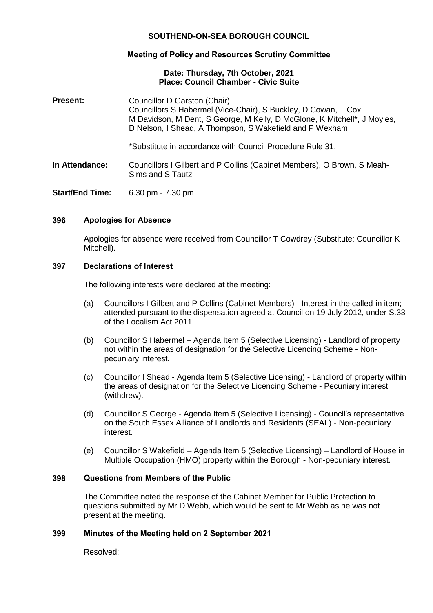# **SOUTHEND-ON-SEA BOROUGH COUNCIL**

## **Meeting of Policy and Resources Scrutiny Committee**

## **Date: Thursday, 7th October, 2021 Place: Council Chamber - Civic Suite**

| <b>Present:</b>        | Councillor D Garston (Chair)<br>Councillors S Habermel (Vice-Chair), S Buckley, D Cowan, T Cox,<br>M Davidson, M Dent, S George, M Kelly, D McGlone, K Mitchell*, J Moyies,<br>D Nelson, I Shead, A Thompson, S Wakefield and P Wexham |
|------------------------|----------------------------------------------------------------------------------------------------------------------------------------------------------------------------------------------------------------------------------------|
|                        | *Substitute in accordance with Council Procedure Rule 31.                                                                                                                                                                              |
| In Attendance:         | Councillors I Gilbert and P Collins (Cabinet Members), O Brown, S Meah-<br>Sims and S Tautz                                                                                                                                            |
| <b>Start/End Time:</b> | 6.30 pm $- 7.30$ pm                                                                                                                                                                                                                    |

## **396 Apologies for Absence**

Apologies for absence were received from Councillor T Cowdrey (Substitute: Councillor K Mitchell).

### **397 Declarations of Interest**

The following interests were declared at the meeting:

- (a) Councillors I Gilbert and P Collins (Cabinet Members) Interest in the called-in item; attended pursuant to the dispensation agreed at Council on 19 July 2012, under S.33 of the Localism Act 2011.
- (b) Councillor S Habermel Agenda Item 5 (Selective Licensing) Landlord of property not within the areas of designation for the Selective Licencing Scheme - Nonpecuniary interest.
- (c) Councillor I Shead Agenda Item 5 (Selective Licensing) Landlord of property within the areas of designation for the Selective Licencing Scheme - Pecuniary interest (withdrew).
- (d) Councillor S George Agenda Item 5 (Selective Licensing) Council's representative on the South Essex Alliance of Landlords and Residents (SEAL) - Non-pecuniary interest.
- (e) Councillor S Wakefield Agenda Item 5 (Selective Licensing) Landlord of House in Multiple Occupation (HMO) property within the Borough - Non-pecuniary interest.

## **398 Questions from Members of the Public**

The Committee noted the response of the Cabinet Member for Public Protection to questions submitted by Mr D Webb, which would be sent to Mr Webb as he was not present at the meeting.

### **399 Minutes of the Meeting held on 2 September 2021**

Resolved: